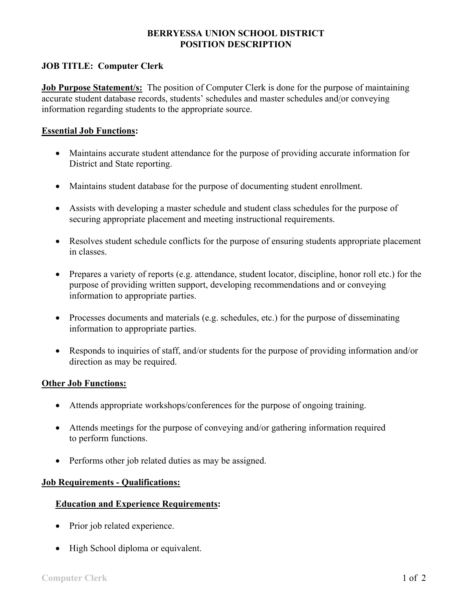# **BERRYESSA UNION SCHOOL DISTRICT POSITION DESCRIPTION**

# **JOB TITLE: Computer Clerk**

**Job Purpose Statement/s:** The position of Computer Clerk is done for the purpose of maintaining accurate student database records, students' schedules and master schedules and/or conveying information regarding students to the appropriate source.

#### **Essential Job Functions:**

- Maintains accurate student attendance for the purpose of providing accurate information for District and State reporting.
- Maintains student database for the purpose of documenting student enrollment.
- Assists with developing a master schedule and student class schedules for the purpose of securing appropriate placement and meeting instructional requirements.
- Resolves student schedule conflicts for the purpose of ensuring students appropriate placement in classes.
- Prepares a variety of reports (e.g. attendance, student locator, discipline, honor roll etc.) for the purpose of providing written support, developing recommendations and or conveying information to appropriate parties.
- Processes documents and materials (e.g. schedules, etc.) for the purpose of disseminating information to appropriate parties.
- Responds to inquiries of staff, and/or students for the purpose of providing information and/or direction as may be required.

## **Other Job Functions:**

- Attends appropriate workshops/conferences for the purpose of ongoing training.
- Attends meetings for the purpose of conveying and/or gathering information required to perform functions.
- Performs other job related duties as may be assigned.

## **Job Requirements - Qualifications:**

## **Education and Experience Requirements:**

- Prior job related experience.
- High School diploma or equivalent.